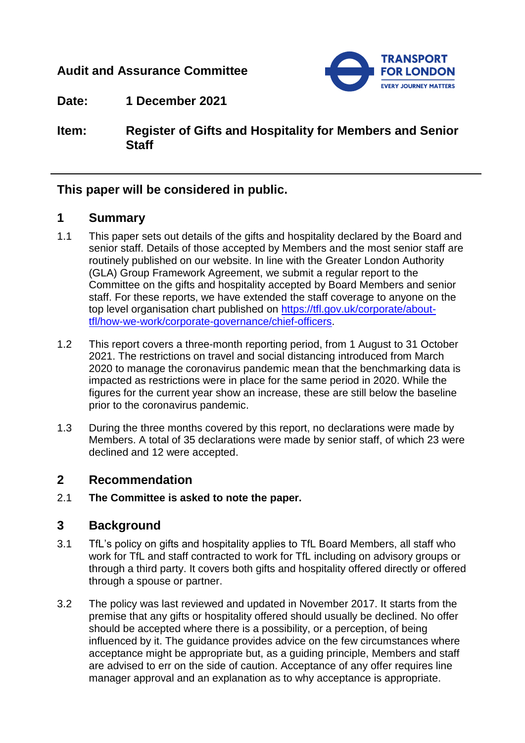# **Audit and Assurance Committee**



**Date: 1 December 2021**

**Item: Register of Gifts and Hospitality for Members and Senior Staff** 

## **This paper will be considered in public.**

# **1 Summary**

- 1.1 This paper sets out details of the gifts and hospitality declared by the Board and senior staff. Details of those accepted by Members and the most senior staff are routinely published on our website. In line with the Greater London Authority (GLA) Group Framework Agreement, we submit a regular report to the Committee on the gifts and hospitality accepted by Board Members and senior staff. For these reports, we have extended the staff coverage to anyone on the top level organisation chart published on [https://tfl.gov.uk/corporate/about](https://tfl.gov.uk/corporate/about-tfl/how-we-work/corporate-governance/chief-officers)[tfl/how-we-work/corporate-governance/chief-officers.](https://tfl.gov.uk/corporate/about-tfl/how-we-work/corporate-governance/chief-officers)
- 1.2 This report covers a three-month reporting period, from 1 August to 31 October 2021. The restrictions on travel and social distancing introduced from March 2020 to manage the coronavirus pandemic mean that the benchmarking data is impacted as restrictions were in place for the same period in 2020. While the figures for the current year show an increase, these are still below the baseline prior to the coronavirus pandemic.
- 1.3 During the three months covered by this report, no declarations were made by Members. A total of 35 declarations were made by senior staff, of which 23 were declined and 12 were accepted.

## **2 Recommendation**

2.1 **The Committee is asked to note the paper.**

## **3 Background**

- 3.1 TfL's policy on gifts and hospitality applies to TfL Board Members, all staff who work for TfL and staff contracted to work for TfL including on advisory groups or through a third party. It covers both gifts and hospitality offered directly or offered through a spouse or partner.
- 3.2 The policy was last reviewed and updated in November 2017. It starts from the premise that any gifts or hospitality offered should usually be declined. No offer should be accepted where there is a possibility, or a perception, of being influenced by it. The guidance provides advice on the few circumstances where acceptance might be appropriate but, as a guiding principle, Members and staff are advised to err on the side of caution. Acceptance of any offer requires line manager approval and an explanation as to why acceptance is appropriate.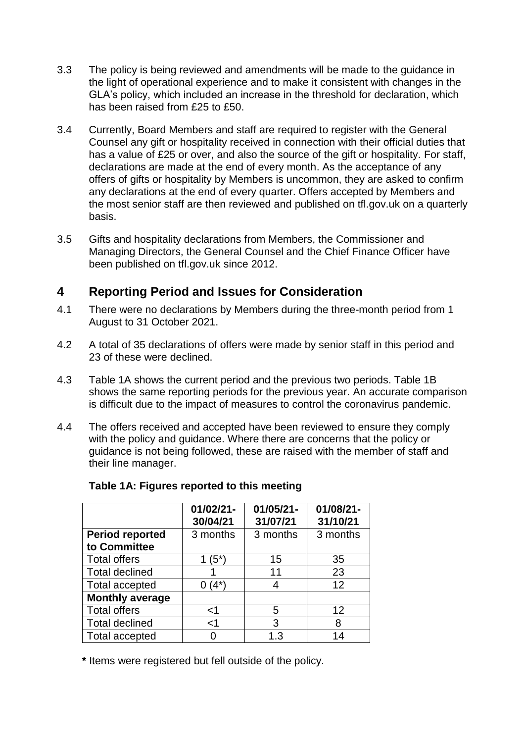- 3.3 The policy is being reviewed and amendments will be made to the guidance in the light of operational experience and to make it consistent with changes in the GLA's policy, which included an increase in the threshold for declaration, which has been raised from £25 to £50.
- 3.4 Currently, Board Members and staff are required to register with the General Counsel any gift or hospitality received in connection with their official duties that has a value of £25 or over, and also the source of the gift or hospitality. For staff, declarations are made at the end of every month. As the acceptance of any offers of gifts or hospitality by Members is uncommon, they are asked to confirm any declarations at the end of every quarter. Offers accepted by Members and the most senior staff are then reviewed and published on tfl.gov.uk on a quarterly basis.
- 3.5 Gifts and hospitality declarations from Members, the Commissioner and Managing Directors, the General Counsel and the Chief Finance Officer have been published on tfl.gov.uk since 2012.

# **4 Reporting Period and Issues for Consideration**

- 4.1 There were no declarations by Members during the three-month period from 1 August to 31 October 2021.
- 4.2 A total of 35 declarations of offers were made by senior staff in this period and 23 of these were declined.
- 4.3 Table 1A shows the current period and the previous two periods. Table 1B shows the same reporting periods for the previous year. An accurate comparison is difficult due to the impact of measures to control the coronavirus pandemic.
- 4.4 The offers received and accepted have been reviewed to ensure they comply with the policy and guidance. Where there are concerns that the policy or guidance is not being followed, these are raised with the member of staff and their line manager.

|                                        | $01/02/21 -$<br>30/04/21 | $01/05/21 -$<br>31/07/21 | 01/08/21-<br>31/10/21 |
|----------------------------------------|--------------------------|--------------------------|-----------------------|
| <b>Period reported</b><br>to Committee | 3 months                 | 3 months                 | 3 months              |
| <b>Total offers</b>                    | $1(5^*)$                 | 15                       | 35                    |
| <b>Total declined</b>                  |                          | 11                       | 23                    |
| <b>Total accepted</b>                  | $(4^*)$                  | 4                        | 12                    |
| <b>Monthly average</b>                 |                          |                          |                       |
| <b>Total offers</b>                    | $<$ 1                    | 5                        | 12                    |
| <b>Total declined</b>                  | $<$ 1                    | 3                        | 8                     |
| <b>Total accepted</b>                  |                          | 1.3                      |                       |

#### **Table 1A: Figures reported to this meeting**

**\*** Items were registered but fell outside of the policy.